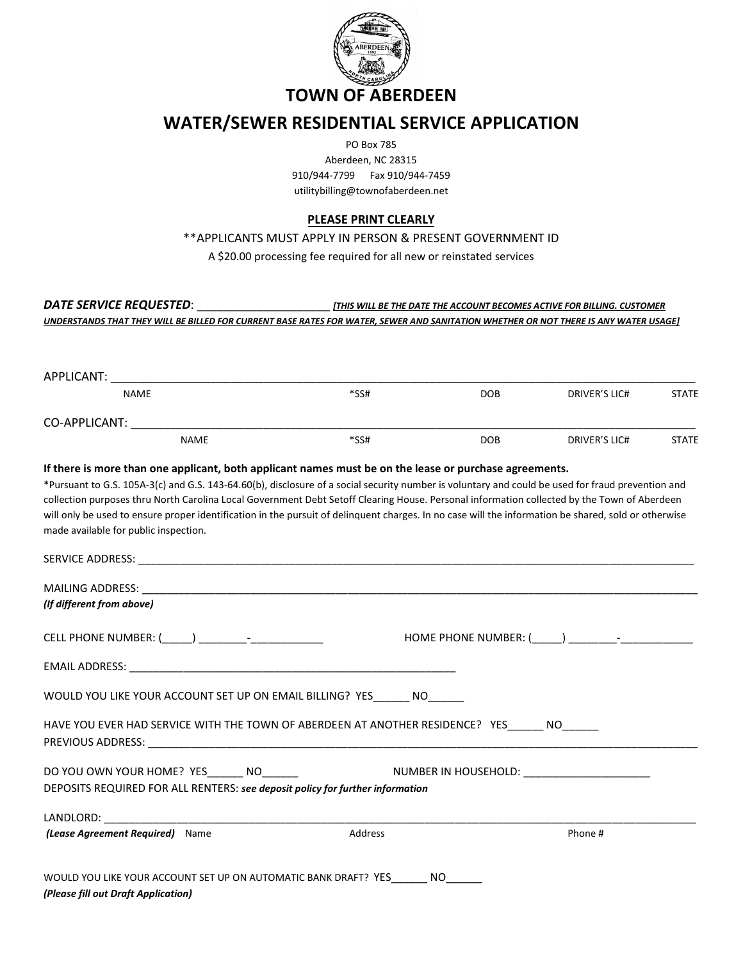

## **WATER/SEWER RESIDENTIAL SERVICE APPLICATION**

PO Box 785

 910/944-7799 Fax 910/944-7459 Aberdeen, NC 28315 utilitybilling@townofaberdeen.net

## **PLEASE PRINT CLEARLY**

\*\*APPLICANTS MUST APPLY IN PERSON & PRESENT GOVERNMENT ID

A \$20.00 processing fee required for all new or reinstated services

*DATE SERVICE REQUESTED*: \_\_\_\_\_\_\_\_\_\_\_\_\_\_\_\_\_\_\_\_ *[THIS WILL BE THE DATE THE ACCOUNT BECOMES ACTIVE FOR BILLING. CUSTOMER UNDERSTANDS THAT THEY WILL BE BILLED FOR CURRENT BASE RATES FOR WATER, SEWER AND SANITATION WHETHER OR NOT THERE IS ANY WATER USAGE]*

| APPLICANT:                                                                                                                                                                                                                                                                                                                                                                                                                                                                                                                                                                                                  |         |            |                                                                                                                                                                                                                                |              |
|-------------------------------------------------------------------------------------------------------------------------------------------------------------------------------------------------------------------------------------------------------------------------------------------------------------------------------------------------------------------------------------------------------------------------------------------------------------------------------------------------------------------------------------------------------------------------------------------------------------|---------|------------|--------------------------------------------------------------------------------------------------------------------------------------------------------------------------------------------------------------------------------|--------------|
| <b>NAME</b>                                                                                                                                                                                                                                                                                                                                                                                                                                                                                                                                                                                                 | $*SS#$  | <b>DOB</b> | DRIVER'S LIC#                                                                                                                                                                                                                  | <b>STATE</b> |
| CO-APPLICANT: The contract of the contract of the contract of the contract of the contract of the contract of the contract of the contract of the contract of the contract of the contract of the contract of the contract of                                                                                                                                                                                                                                                                                                                                                                               |         |            |                                                                                                                                                                                                                                |              |
| <b>NAME</b>                                                                                                                                                                                                                                                                                                                                                                                                                                                                                                                                                                                                 | $*SS#$  | <b>DOB</b> | <b>DRIVER'S LIC#</b>                                                                                                                                                                                                           | <b>STATE</b> |
| If there is more than one applicant, both applicant names must be on the lease or purchase agreements.<br>*Pursuant to G.S. 105A-3(c) and G.S. 143-64.60(b), disclosure of a social security number is voluntary and could be used for fraud prevention and<br>collection purposes thru North Carolina Local Government Debt Setoff Clearing House. Personal information collected by the Town of Aberdeen<br>will only be used to ensure proper identification in the pursuit of delinquent charges. In no case will the information be shared, sold or otherwise<br>made available for public inspection. |         |            |                                                                                                                                                                                                                                |              |
|                                                                                                                                                                                                                                                                                                                                                                                                                                                                                                                                                                                                             |         |            |                                                                                                                                                                                                                                |              |
| MAILING ADDRESS: WAS ARRESTED FOR A 200 FOR THE RESIDENCE OF A 200 FOR THE RESIDENCE OF A 200 FOR THE RESIDENCE OF A 200 FOR THE RESIDENCE OF A 200 FOR THE RESIDENCE OF A 200 FOR THE RESIDENCE OF A 200 FOR THE RESIDENCE OF                                                                                                                                                                                                                                                                                                                                                                              |         |            |                                                                                                                                                                                                                                |              |
| (If different from above)                                                                                                                                                                                                                                                                                                                                                                                                                                                                                                                                                                                   |         |            |                                                                                                                                                                                                                                |              |
|                                                                                                                                                                                                                                                                                                                                                                                                                                                                                                                                                                                                             |         |            | HOME PHONE NUMBER: ( ) Family Reserves the contract of the set of the set of the set of the set of the set of the set of the set of the set of the set of the set of the set of the set of the set of the set of the set of th |              |
|                                                                                                                                                                                                                                                                                                                                                                                                                                                                                                                                                                                                             |         |            |                                                                                                                                                                                                                                |              |
| WOULD YOU LIKE YOUR ACCOUNT SET UP ON EMAIL BILLING? YES NO                                                                                                                                                                                                                                                                                                                                                                                                                                                                                                                                                 |         |            |                                                                                                                                                                                                                                |              |
| HAVE YOU EVER HAD SERVICE WITH THE TOWN OF ABERDEEN AT ANOTHER RESIDENCE? YES______ NO______                                                                                                                                                                                                                                                                                                                                                                                                                                                                                                                |         |            |                                                                                                                                                                                                                                |              |
| DO YOU OWN YOUR HOME? YES______ NO________        NUMBER IN HOUSEHOLD: _______________________                                                                                                                                                                                                                                                                                                                                                                                                                                                                                                              |         |            |                                                                                                                                                                                                                                |              |
| DEPOSITS REQUIRED FOR ALL RENTERS: see deposit policy for further information                                                                                                                                                                                                                                                                                                                                                                                                                                                                                                                               |         |            |                                                                                                                                                                                                                                |              |
| LANDLORD: The contract of the contract of the contract of the contract of the contract of the contract of the contract of the contract of the contract of the contract of the contract of the contract of the contract of the                                                                                                                                                                                                                                                                                                                                                                               |         |            |                                                                                                                                                                                                                                |              |
| (Lease Agreement Required) Name                                                                                                                                                                                                                                                                                                                                                                                                                                                                                                                                                                             | Address |            | Phone #                                                                                                                                                                                                                        |              |
|                                                                                                                                                                                                                                                                                                                                                                                                                                                                                                                                                                                                             |         |            |                                                                                                                                                                                                                                |              |
| WOULD YOU LIKE YOUR ACCOUNT SET UP ON AUTOMATIC BANK DRAFT? YES NO                                                                                                                                                                                                                                                                                                                                                                                                                                                                                                                                          |         |            |                                                                                                                                                                                                                                |              |
|                                                                                                                                                                                                                                                                                                                                                                                                                                                                                                                                                                                                             |         |            |                                                                                                                                                                                                                                |              |

*(Please fill out Draft Application)*